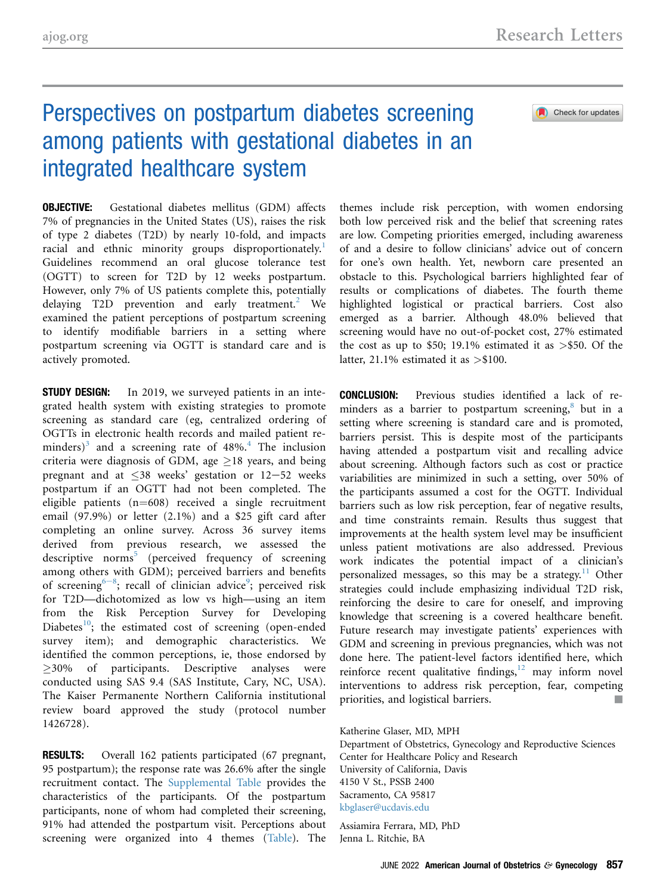### Check for updates

# Perspectives on postpartum diabetes screening among patients with gestational diabetes in an integrated healthcare system

OBJECTIVE: Gestational diabetes mellitus (GDM) affects 7% of pregnancies in the United States (US), raises the risk of type 2 diabetes (T2D) by nearly 10-fold, and impacts racial and ethnic minority groups disproportionately.<sup>[1](#page-1-0)</sup> Guidelines recommend an oral glucose tolerance test (OGTT) to screen for T2D by 12 weeks postpartum. However, only 7% of US patients complete this, potentially delaying T[2](#page-1-0)D prevention and early treatment.<sup>2</sup> We examined the patient perceptions of postpartum screening to identify modifiable barriers in a setting where postpartum screening via OGTT is standard care and is actively promoted.

**STUDY DESIGN:** In 2019, we surveyed patients in an integrated health system with existing strategies to promote screening as standard care (eg, centralized ordering of OGTTs in electronic health records and mailed patient re-minders)<sup>[3](#page-1-0)</sup> and a screening rate of  $48\%$  $48\%$ .<sup>4</sup> The inclusion criteria were diagnosis of GDM, age  $\geq$ 18 years, and being pregnant and at  $\leq 38$  weeks' gestation or 12-52 weeks postpartum if an OGTT had not been completed. The eligible patients  $(n=608)$  received a single recruitment email (97.9%) or letter (2.1%) and a \$25 gift card after completing an online survey. Across 36 survey items derived from previous research, we assessed the descriptive norms<sup>[5](#page-1-0)</sup> (perceived frequency of screening among others with GDM); perceived barriers and benefits of scr[e](#page-1-0)ening<sup>6-8</sup>; recall of clinician advice<sup>[9](#page-2-0)</sup>; perceived risk for T2D—dichotomized as low vs high—using an item from the Risk Perception Survey for Developing Diabetes $10$ ; the estimated cost of screening (open-ended survey item); and demographic characteristics. We identified the common perceptions, ie, those endorsed by  $\geq$ 30% of participants. Descriptive analyses were conducted using SAS 9.4 (SAS Institute, Cary, NC, USA). The Kaiser Permanente Northern California institutional review board approved the study (protocol number 1426728).

RESULTS: Overall 162 patients participated (67 pregnant, 95 postpartum); the response rate was 26.6% after the single recruitment contact. The [Supplemental Table](#page-3-0) provides the characteristics of the participants. Of the postpartum participants, none of whom had completed their screening, 91% had attended the postpartum visit. Perceptions about screening were organized into 4 themes [\(Table\)](#page-1-0). The themes include risk perception, with women endorsing both low perceived risk and the belief that screening rates are low. Competing priorities emerged, including awareness of and a desire to follow clinicians' advice out of concern for one's own health. Yet, newborn care presented an obstacle to this. Psychological barriers highlighted fear of results or complications of diabetes. The fourth theme highlighted logistical or practical barriers. Cost also emerged as a barrier. Although 48.0% believed that screening would have no out-of-pocket cost, 27% estimated the cost as up to \$50; 19.1% estimated it as  $>$ \$50. Of the latter, 21.1% estimated it as  $> $100$ .

CONCLUSION: Previous studies identified a lack of reminders as a barrier to postpartum screening, $8$  but in a setting where screening is standard care and is promoted, barriers persist. This is despite most of the participants having attended a postpartum visit and recalling advice about screening. Although factors such as cost or practice variabilities are minimized in such a setting, over 50% of the participants assumed a cost for the OGTT. Individual barriers such as low risk perception, fear of negative results, and time constraints remain. Results thus suggest that improvements at the health system level may be insufficient unless patient motivations are also addressed. Previous work indicates the potential impact of a clinician's personalized messages, so this may be a strategy.<sup>[11](#page-2-0)</sup> Other strategies could include emphasizing individual T2D risk, reinforcing the desire to care for oneself, and improving knowledge that screening is a covered healthcare benefit. Future research may investigate patients' experiences with GDM and screening in previous pregnancies, which was not done here. The patient-level factors identified here, which reinforce recent qualitative findings, $12 \text{ may inform novel}$  $12 \text{ may inform novel}$ interventions to address risk perception, fear, competing priorities, and logistical barriers.

Katherine Glaser, MD, MPH

Department of Obstetrics, Gynecology and Reproductive Sciences Center for Healthcare Policy and Research University of California, Davis 4150 V St., PSSB 2400 Sacramento, CA 95817 [kbglaser@ucdavis.edu](mailto:kbglaser@ucdavis.edu)

Assiamira Ferrara, MD, PhD Jenna L. Ritchie, BA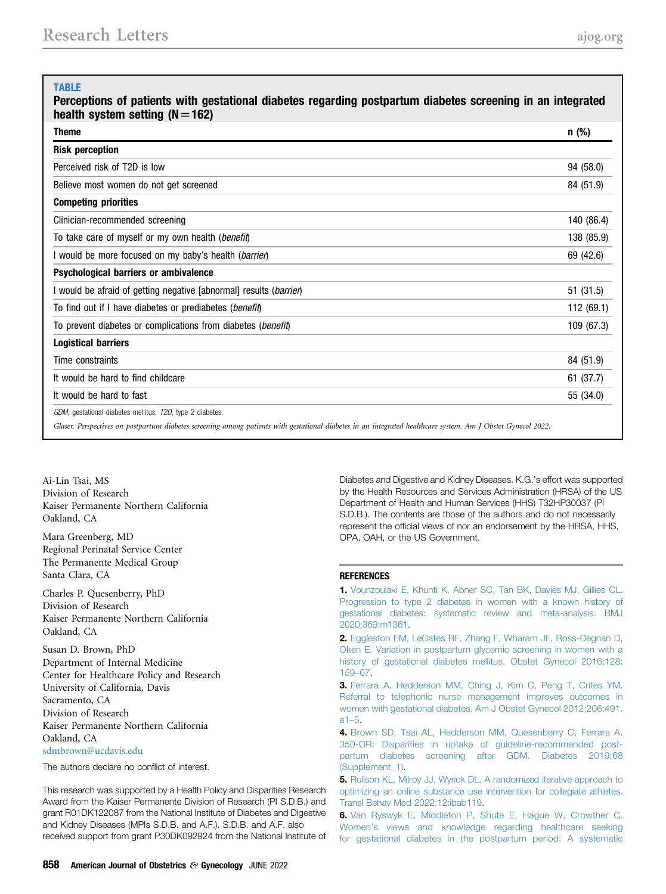### <span id="page-1-0"></span>TABLE

Perceptions of patients with gestational diabetes regarding postpartum diabetes screening in an integrated health system setting  $(N=162)$ 

| <b>Theme</b>                                                                                                                                                 | $n$ (%)    |
|--------------------------------------------------------------------------------------------------------------------------------------------------------------|------------|
| <b>Risk perception</b>                                                                                                                                       |            |
| Perceived risk of T2D is low                                                                                                                                 | 94 (58.0)  |
| Believe most women do not get screened                                                                                                                       | 84 (51.9)  |
| <b>Competing priorities</b>                                                                                                                                  |            |
| Clinician-recommended screening                                                                                                                              | 140 (86.4) |
| To take care of myself or my own health ( <i>benefit</i> )                                                                                                   | 138 (85.9) |
| I would be more focused on my baby's health ( <i>barrier</i> )                                                                                               | 69 (42.6)  |
| Psychological barriers or ambivalence                                                                                                                        |            |
| I would be afraid of getting negative [abnormal] results ( <i>barrien</i> )                                                                                  | 51 (31.5)  |
| To find out if I have diabetes or prediabetes ( <i>benefit</i> )                                                                                             | 112 (69.1) |
| To prevent diabetes or complications from diabetes ( <i>benefit</i> )                                                                                        | 109 (67.3) |
| <b>Logistical barriers</b>                                                                                                                                   |            |
| Time constraints                                                                                                                                             | 84 (51.9)  |
| It would be hard to find childcare                                                                                                                           | 61 (37.7)  |
| It would be hard to fast                                                                                                                                     | 55 (34.0)  |
| GDM, gestational diabetes mellitus; T2D, type 2 diabetes.                                                                                                    |            |
| Glaser. Perspectives on postpartum diabetes screening among patients with gestational diabetes in an integrated healthcare system. Am J Obstet Gynecol 2022. |            |

Ai-Lin Tsai, MS Division of Research Kaiser Permanente Northern California Oakland, CA

Mara Greenberg, MD Regional Perinatal Service Center The Permanente Medical Group Santa Clara, CA

Charles P. Quesenberry, PhD Division of Research Kaiser Permanente Northern California Oakland, CA

Susan D. Brown, PhD Department of Internal Medicine Center for Healthcare Policy and Research University of California, Davis Sacramento, CA Division of Research Kaiser Permanente Northern California Oakland, CA [sdmbrown@ucdavis.edu](mailto:sdmbrown@ucdavis.edu)

The authors declare no conflict of interest.

This research was supported by a Health Policy and Disparities Research Award from the Kaiser Permanente Division of Research (PI S.D.B.) and grant R01DK122087 from the National Institute of Diabetes and Digestive and Kidney Diseases (MPIs S.D.B. and A.F.). S.D.B. and A.F. also received support from grant P30DK092924 from the National Institute of

Diabetes and Digestive and Kidney Diseases. K.G.'s effort was supported by the Health Resources and Services Administration (HRSA) of the US Department of Health and Human Services (HHS) T32HP30037 (PI S.D.B.). The contents are those of the authors and do not necessarily represent the official views of nor an endorsement by the HRSA, HHS, OPA, OAH, or the US Government.

#### **REFERENCES**

1. [Vounzoulaki E, Khunti K, Abner SC, Tan BK, Davies MJ, Gillies CL.](http://refhub.elsevier.com/S0002-9378(22)00106-5/sref1) [Progression to type 2 diabetes in women with a known history of](http://refhub.elsevier.com/S0002-9378(22)00106-5/sref1) [gestational diabetes: systematic review and meta-analysis. BMJ](http://refhub.elsevier.com/S0002-9378(22)00106-5/sref1) [2020;369:m1361](http://refhub.elsevier.com/S0002-9378(22)00106-5/sref1).

2. [Eggleston EM, LeCates RF, Zhang F, Wharam JF, Ross-Degnan D,](http://refhub.elsevier.com/S0002-9378(22)00106-5/sref2) [Oken E. Variation in postpartum glycemic screening in women with a](http://refhub.elsevier.com/S0002-9378(22)00106-5/sref2) [history of gestational diabetes mellitus. Obstet Gynecol 2016;128:](http://refhub.elsevier.com/S0002-9378(22)00106-5/sref2) [159](http://refhub.elsevier.com/S0002-9378(22)00106-5/sref2)–67.

3. [Ferrara A, Hedderson MM, Ching J, Kim C, Peng T, Crites YM.](http://refhub.elsevier.com/S0002-9378(22)00106-5/sref3) [Referral to telephonic nurse management improves outcomes in](http://refhub.elsevier.com/S0002-9378(22)00106-5/sref3) [women with gestational diabetes. Am J Obstet Gynecol 2012;206:491.](http://refhub.elsevier.com/S0002-9378(22)00106-5/sref3) [e1](http://refhub.elsevier.com/S0002-9378(22)00106-5/sref3)–5.

4. [Brown SD, Tsai AL, Hedderson MM, Quesenberry C, Ferrara A.](http://refhub.elsevier.com/S0002-9378(22)00106-5/sref4) [350-OR: Disparities in uptake of](http://refhub.elsevier.com/S0002-9378(22)00106-5/sref4) guideline-recommended post[partum diabetes screening after GDM. Diabetes 2019;68](http://refhub.elsevier.com/S0002-9378(22)00106-5/sref4) [\(Supplement\\_1\)](http://refhub.elsevier.com/S0002-9378(22)00106-5/sref4).

5. [Rulison KL, Milroy JJ, Wyrick DL. A randomized iterative approach to](http://refhub.elsevier.com/S0002-9378(22)00109-0/sref5) [optimizing an online substance use intervention for collegiate athletes.](http://refhub.elsevier.com/S0002-9378(22)00109-0/sref5) [Transl Behav Med 2022;12:ibab119.](http://refhub.elsevier.com/S0002-9378(22)00109-0/sref5)

6. [Van Ryswyk E, Middleton P, Shute E, Hague W, Crowther C.](http://refhub.elsevier.com/S0002-9378(22)00144-2/sref6) Women'[s views and knowledge regarding healthcare seeking](http://refhub.elsevier.com/S0002-9378(22)00144-2/sref6) [for gestational diabetes in the postpartum period: A systematic](http://refhub.elsevier.com/S0002-9378(22)00144-2/sref6)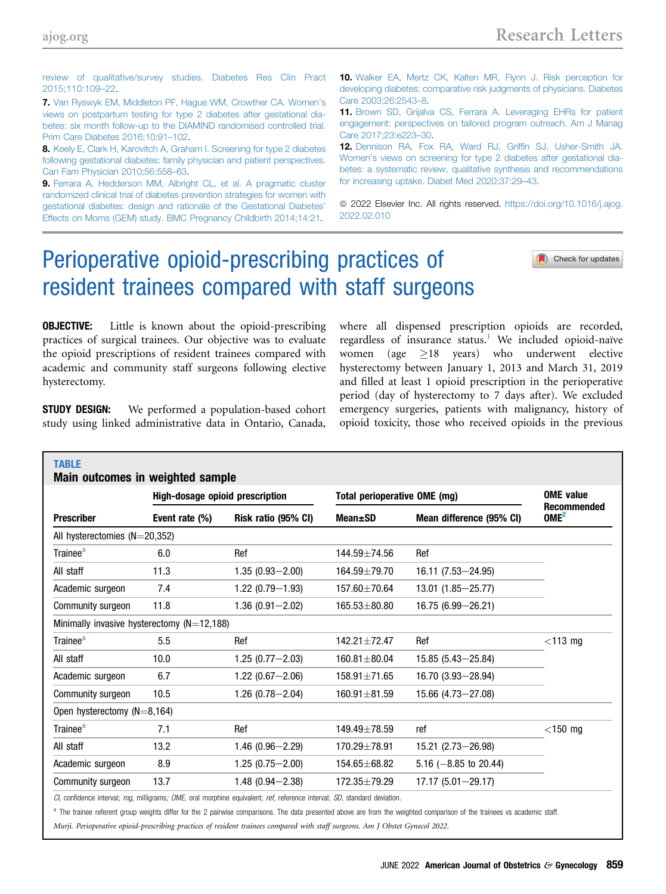<span id="page-2-0"></span>[review of qualitative/survey studies. Diabetes Res Clin Pract](http://refhub.elsevier.com/S0002-9378(22)00144-2/sref6) [2015;110:109](http://refhub.elsevier.com/S0002-9378(22)00144-2/sref6)–22.

7. [Van Ryswyk EM, Middleton PF, Hague WM, Crowther CA. Women](http://refhub.elsevier.com/S0002-9378(22)00110-7/sref7)'s [views on postpartum testing for type 2 diabetes after gestational dia](http://refhub.elsevier.com/S0002-9378(22)00110-7/sref7)[betes: six month follow-up to the DIAMIND randomised controlled trial.](http://refhub.elsevier.com/S0002-9378(22)00110-7/sref7) [Prim Care Diabetes 2016;10:91](http://refhub.elsevier.com/S0002-9378(22)00110-7/sref7)–102.

8. [Keely E, Clark H, Karovitch A, Graham I. Screening for type 2 diabetes](http://refhub.elsevier.com/S0002-9378(22)00110-7/sref8) [following gestational diabetes: family physician and patient perspectives.](http://refhub.elsevier.com/S0002-9378(22)00110-7/sref8) [Can Fam Physician 2010;56:558](http://refhub.elsevier.com/S0002-9378(22)00110-7/sref8)–63.

9. [Ferrara A, Hedderson MM, Albright CL, et al. A pragmatic cluster](http://refhub.elsevier.com/S0002-9378(22)00110-7/sref9) [randomized clinical trial of diabetes prevention strategies for women with](http://refhub.elsevier.com/S0002-9378(22)00110-7/sref9) [gestational diabetes: design and rationale of the Gestational Diabetes](http://refhub.elsevier.com/S0002-9378(22)00110-7/sref9)' [Effects on Moms \(GEM\) study. BMC Pregnancy Childbirth 2014;14:21](http://refhub.elsevier.com/S0002-9378(22)00110-7/sref9).

10. [Walker EA, Mertz CK, Kalten MR, Flynn J. Risk perception for](http://refhub.elsevier.com/S0002-9378(22)00110-7/sref10) [developing diabetes: comparative risk judgments of physicians. Diabetes](http://refhub.elsevier.com/S0002-9378(22)00110-7/sref10) [Care 2003;26:2543](http://refhub.elsevier.com/S0002-9378(22)00110-7/sref10)–8.

11. [Brown SD, Grijalva CS, Ferrara A. Leveraging EHRs for patient](http://refhub.elsevier.com/S0002-9378(22)00110-7/sref11) [engagement: perspectives on tailored program outreach. Am J Manag](http://refhub.elsevier.com/S0002-9378(22)00110-7/sref11) [Care 2017;23:e223](http://refhub.elsevier.com/S0002-9378(22)00110-7/sref11)–30.

12. [Dennison RA, Fox RA, Ward RJ, Grif](http://refhub.elsevier.com/S0002-9378(22)00110-7/sref12)fin SJ, Usher-Smith JA. Women'[s views on screening for type 2 diabetes after gestational dia](http://refhub.elsevier.com/S0002-9378(22)00110-7/sref12)[betes: a systematic review, qualitative synthesis and recommendations](http://refhub.elsevier.com/S0002-9378(22)00110-7/sref12) [for increasing uptake. Diabet Med 2020;37:29](http://refhub.elsevier.com/S0002-9378(22)00110-7/sref12)–43.

© 2022 Elsevier Inc. All rights reserved. [https://doi.org/10.1016/j.ajog.](https://doi.org/10.1016/j.ajog.2022.02.010) [2022.02.010](https://doi.org/10.1016/j.ajog.2022.02.010)

# Perioperative opioid-prescribing practices of resident trainees compared with staff surgeons

Check for updates

## **OBJECTIVE:** Little is known about the opioid-prescribing practices of surgical trainees. Our objective was to evaluate the opioid prescriptions of resident trainees compared with academic and community staff surgeons following elective hysterectomy.

**STUDY DESIGN:** We performed a population-based cohort study using linked administrative data in Ontario, Canada,

where all dispensed prescription opioids are recorded, regardless of insurance status.<sup>1</sup> We included opioid-naïve women (age  $\geq 18$  years) who underwent elective hysterectomy between January 1, 2013 and March 31, 2019 and filled at least 1 opioid prescription in the perioperative period (day of hysterectomy to 7 days after). We excluded emergency surgeries, patients with malignancy, history of opioid toxicity, those who received opioids in the previous

| <b>Prescriber</b>                            | <b>High-dosage opioid prescription</b> |                     | Total perioperative OME (mg) |                                  | <b>OME</b> value<br><b>Recommended</b> |
|----------------------------------------------|----------------------------------------|---------------------|------------------------------|----------------------------------|----------------------------------------|
|                                              | Event rate (%)                         | Risk ratio (95% CI) | Mean±SD                      | Mean difference (95% CI)         | OME <sup>2</sup>                       |
| All hysterectomies $(N=20,352)$              |                                        |                     |                              |                                  |                                        |
| Trainee <sup>a</sup>                         | 6.0                                    | Ref                 | 144.59±74.56                 | Ref                              |                                        |
| All staff                                    | 11.3                                   | $1.35(0.93 - 2.00)$ | $164.59 \pm 79.70$           | 16.11 (7.53-24.95)               |                                        |
| Academic surgeon                             | 7.4                                    | $1.22(0.79 - 1.93)$ | 157.60±70.64                 | 13.01 (1.85 - 25.77)             |                                        |
| Community surgeon                            | 11.8                                   | $1.36(0.91 - 2.02)$ | $165.53 \pm 80.80$           | 16.75 (6.99 - 26.21)             |                                        |
| Minimally invasive hysterectomy $(N=12,188)$ |                                        |                     |                              |                                  |                                        |
| Trainee <sup>a</sup>                         | 5.5                                    | Ref                 | $142.21 + 72.47$             | Ref                              | $<$ 113 mg                             |
| All staff                                    | 10.0                                   | $1.25(0.77 - 2.03)$ | $160.81 \pm 80.04$           | $15.85(5.43 - 25.84)$            |                                        |
| Academic surgeon                             | 6.7                                    | $1.22(0.67 - 2.06)$ | $158.91 \pm 71.65$           | $16.70(3.93 - 28.94)$            |                                        |
| Community surgeon                            | 10.5                                   | $1.26(0.78 - 2.04)$ | $160.91 \pm 81.59$           | $15.66$ (4.73-27.08)             |                                        |
| Open hysterectomy $(N=8, 164)$               |                                        |                     |                              |                                  |                                        |
| Trainee <sup>a</sup>                         | 7.1                                    | Ref                 | 149.49±78.59                 | ref                              | $<$ 150 mg                             |
| All staff                                    | 13.2                                   | $1.46(0.96 - 2.29)$ | 170.29±78.91                 | 15.21 (2.73-26.98)               |                                        |
| Academic surgeon                             | 8.9                                    | $1.25(0.75 - 2.00)$ | 154.65±68.82                 | 5.16 $(-8.85 \text{ to } 20.44)$ |                                        |
| Community surgeon                            | 13.7                                   | $1.48(0.94 - 2.38)$ | 172.35±79.29                 | $17.17(5.01 - 29.17)$            |                                        |

CI, confidence interval; mg, milligrams; OME, oral morphine equivalent; ref, reference interval; SD, standard deviation.

<sup>a</sup> The trainee referent group weights differ for the 2 pairwise comparisons. The data presented above are from the weighted comparison of the trainees vs academic staff.

Murji. Perioperative opioid-prescribing practices of resident trainees compared with staff surgeons. Am J Obstet Gynecol 2022.